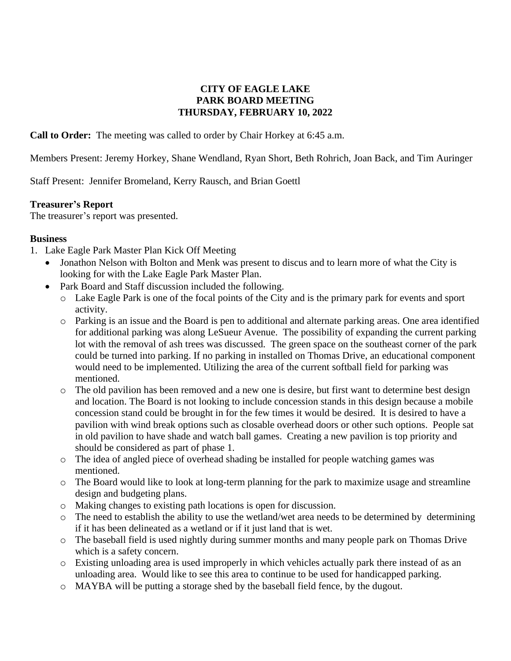## **CITY OF EAGLE LAKE PARK BOARD MEETING THURSDAY, FEBRUARY 10, 2022**

**Call to Order:** The meeting was called to order by Chair Horkey at 6:45 a.m.

Members Present: Jeremy Horkey, Shane Wendland, Ryan Short, Beth Rohrich, Joan Back, and Tim Auringer

Staff Present: Jennifer Bromeland, Kerry Rausch, and Brian Goettl

## **Treasurer's Report**

The treasurer's report was presented.

## **Business**

- 1. Lake Eagle Park Master Plan Kick Off Meeting
	- Jonathon Nelson with Bolton and Menk was present to discus and to learn more of what the City is looking for with the Lake Eagle Park Master Plan.
	- Park Board and Staff discussion included the following.
		- o Lake Eagle Park is one of the focal points of the City and is the primary park for events and sport activity.
		- o Parking is an issue and the Board is pen to additional and alternate parking areas. One area identified for additional parking was along LeSueur Avenue. The possibility of expanding the current parking lot with the removal of ash trees was discussed. The green space on the southeast corner of the park could be turned into parking. If no parking in installed on Thomas Drive, an educational component would need to be implemented. Utilizing the area of the current softball field for parking was mentioned.
		- o The old pavilion has been removed and a new one is desire, but first want to determine best design and location. The Board is not looking to include concession stands in this design because a mobile concession stand could be brought in for the few times it would be desired. It is desired to have a pavilion with wind break options such as closable overhead doors or other such options. People sat in old pavilion to have shade and watch ball games. Creating a new pavilion is top priority and should be considered as part of phase 1.
		- o The idea of angled piece of overhead shading be installed for people watching games was mentioned.
		- o The Board would like to look at long-term planning for the park to maximize usage and streamline design and budgeting plans.
		- o Making changes to existing path locations is open for discussion.
		- o The need to establish the ability to use the wetland/wet area needs to be determined by determining if it has been delineated as a wetland or if it just land that is wet.
		- o The baseball field is used nightly during summer months and many people park on Thomas Drive which is a safety concern.
		- o Existing unloading area is used improperly in which vehicles actually park there instead of as an unloading area. Would like to see this area to continue to be used for handicapped parking.
		- o MAYBA will be putting a storage shed by the baseball field fence, by the dugout.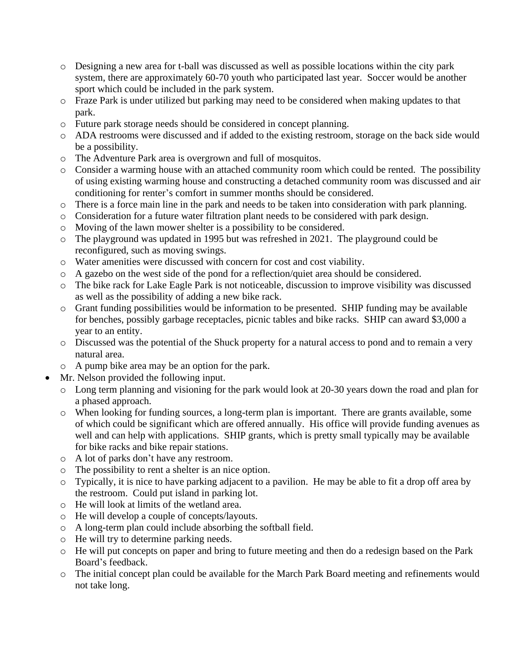- o Designing a new area for t-ball was discussed as well as possible locations within the city park system, there are approximately 60-70 youth who participated last year. Soccer would be another sport which could be included in the park system.
- o Fraze Park is under utilized but parking may need to be considered when making updates to that park.
- o Future park storage needs should be considered in concept planning.
- o ADA restrooms were discussed and if added to the existing restroom, storage on the back side would be a possibility.
- o The Adventure Park area is overgrown and full of mosquitos.
- o Consider a warming house with an attached community room which could be rented. The possibility of using existing warming house and constructing a detached community room was discussed and air conditioning for renter's comfort in summer months should be considered.
- o There is a force main line in the park and needs to be taken into consideration with park planning.
- o Consideration for a future water filtration plant needs to be considered with park design.
- o Moving of the lawn mower shelter is a possibility to be considered.
- o The playground was updated in 1995 but was refreshed in 2021. The playground could be reconfigured, such as moving swings.
- o Water amenities were discussed with concern for cost and cost viability.
- o A gazebo on the west side of the pond for a reflection/quiet area should be considered.
- o The bike rack for Lake Eagle Park is not noticeable, discussion to improve visibility was discussed as well as the possibility of adding a new bike rack.
- o Grant funding possibilities would be information to be presented. SHIP funding may be available for benches, possibly garbage receptacles, picnic tables and bike racks. SHIP can award \$3,000 a year to an entity.
- o Discussed was the potential of the Shuck property for a natural access to pond and to remain a very natural area.
- o A pump bike area may be an option for the park.
- Mr. Nelson provided the following input.
	- o Long term planning and visioning for the park would look at 20-30 years down the road and plan for a phased approach.
	- o When looking for funding sources, a long-term plan is important. There are grants available, some of which could be significant which are offered annually. His office will provide funding avenues as well and can help with applications. SHIP grants, which is pretty small typically may be available for bike racks and bike repair stations.
	- o A lot of parks don't have any restroom.
	- o The possibility to rent a shelter is an nice option.
	- o Typically, it is nice to have parking adjacent to a pavilion. He may be able to fit a drop off area by the restroom. Could put island in parking lot.
	- o He will look at limits of the wetland area.
	- o He will develop a couple of concepts/layouts.
	- o A long-term plan could include absorbing the softball field.
	- o He will try to determine parking needs.
	- o He will put concepts on paper and bring to future meeting and then do a redesign based on the Park Board's feedback.
	- o The initial concept plan could be available for the March Park Board meeting and refinements would not take long.